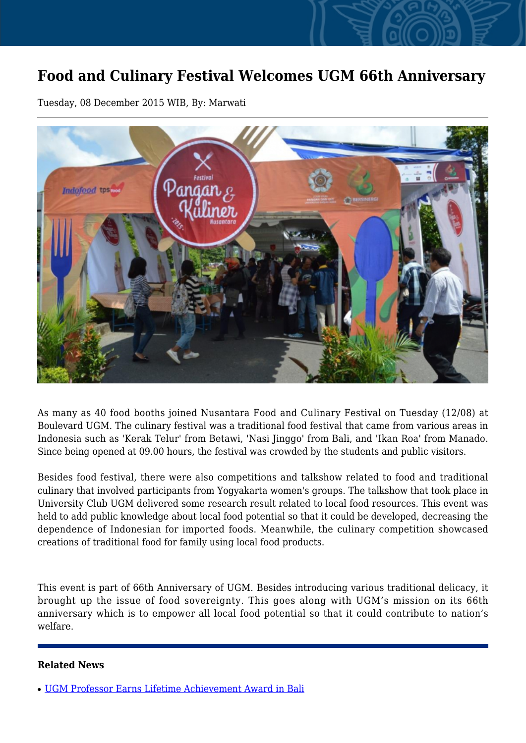## **Food and Culinary Festival Welcomes UGM 66th Anniversary**

Tuesday, 08 December 2015 WIB, By: Marwati



As many as 40 food booths joined Nusantara Food and Culinary Festival on Tuesday (12/08) at Boulevard UGM. The culinary festival was a traditional food festival that came from various areas in Indonesia such as 'Kerak Telur' from Betawi, 'Nasi Jinggo' from Bali, and 'Ikan Roa' from Manado. Since being opened at 09.00 hours, the festival was crowded by the students and public visitors.

Besides food festival, there were also competitions and talkshow related to food and traditional culinary that involved participants from Yogyakarta women's groups. The talkshow that took place in University Club UGM delivered some research result related to local food resources. This event was held to add public knowledge about local food potential so that it could be developed, decreasing the dependence of Indonesian for imported foods. Meanwhile, the culinary competition showcased creations of traditional food for family using local food products.

This event is part of 66th Anniversary of UGM. Besides introducing various traditional delicacy, it brought up the issue of food sovereignty. This goes along with UGM's mission on its 66th anniversary which is to empower all local food potential so that it could contribute to nation's welfare.

## **Related News**

<sup>●</sup> [UGM Professor Earns Lifetime Achievement Award in Bali](http://ugm.ac.id/www.ugm.ac.id//en/news/5255-culinary-festival-livened-up-anniversary)